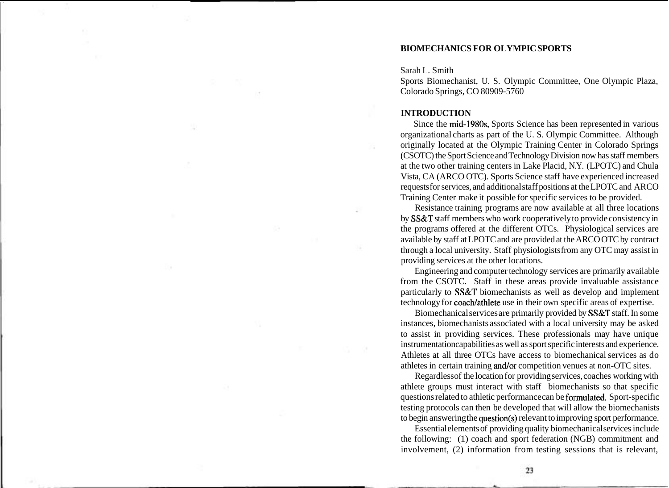## **BIOMECHANICS FOR OLYMPIC SPORTS**

Sarah L. Smith

Sports Biomechanist, U. S. Olympic Committee, One Olympic Plaza, Colorado Springs, CO 80909-5760

## **INTRODUCTION**

Since the mid-1980s, Sports Science has been represented in various organizational charts as part of the U. S. Olympic Committee. Although originally located at the Olympic Training Center in Colorado Springs (CSOTC) the Sport Science and Technology Division now has staff members at the two other training centers in Lake Placid, N.Y. (LPOTC) and Chula Vista, CA (ARCO OTC). Sports Science staff have experienced increased requests for services, and additional staff positions at the LPOTC and ARCO Training Center make it possible for specific services to be provided.

Resistance training programs are now available at all three locations by SS&T staff members who work cooperatively to provide consistency in the programs offered at the different OTCs. Physiological services are available by staff at LPOTC and are provided at the ARCO OTC by contract through a local university. Staff physiologists from any OTC may assist in providing services at the other locations.

Engineering and computer technology services are primarily available from the CSOTC. Staff in these areas provide invaluable assistance particularly to SS&T biomechanists as well as develop and implement technology for coach/athlete use in their own specific areas of expertise.

Biomechanical services are primarily provided by SS&T staff. In some instances, biomechanists associated with a local university may be asked to assist in providing services. These professionals may have unique instrumentation capabilities as well as sport specific interests and experience. Athletes at all three OTCs have access to biomechanical services as do athletes in certain training and/or competition venues at non-OTC sites.

Regardless of the location for providing services, coaches working with athlete groups must interact with staff biomechanists so that specific questions related to athletic performance can be formulated. Sport-specific testing protocols can then be developed that will allow the biomechanists to begin answering the question(s) relevant to improving sport performance.

Essential elements of providing quality biomechanical services include the following: (1) coach and sport federation (NGB) commitment and involvement, (2) information from testing sessions that is relevant,